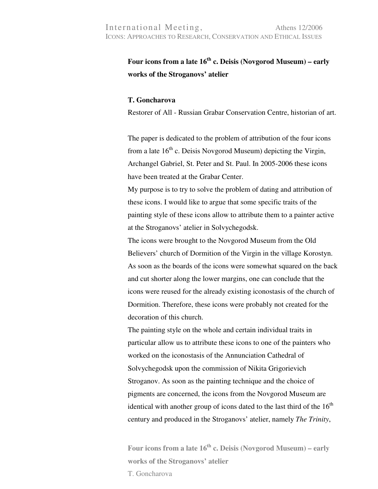## **Four icons from a late 16th c. Deisis (Novgorod Museum) – early works of the Stroganovs' atelier**

## **T. Goncharova**

Restorer of All - Russian Grabar Conservation Centre, historian of art.

The paper is dedicated to the problem of attribution of the four icons from a late  $16<sup>th</sup>$  c. Deisis Novgorod Museum) depicting the Virgin, Archangel Gabriel, St. Peter and St. Paul. In 2005-2006 these icons have been treated at the Grabar Center.

My purpose is to try to solve the problem of dating and attribution of these icons. I would like to argue that some specific traits of the painting style of these icons allow to attribute them to a painter active at the Stroganovs' atelier in Solvychegodsk.

The icons were brought to the Novgorod Museum from the Old Believers' church of Dormition of the Virgin in the village Korostyn. As soon as the boards of the icons were somewhat squared on the back and cut shorter along the lower margins, one can conclude that the icons were reused for the already existing iconostasis of the church of Dormition. Therefore, these icons were probably not created for the decoration of this church.

The painting style on the whole and certain individual traits in particular allow us to attribute these icons to one of the painters who worked on the iconostasis of the Annunciation Cathedral of Solvychegodsk upon the commission of Nikita Grigorievich Stroganov. As soon as the painting technique and the choice of pigments are concerned, the icons from the Novgorod Museum are identical with another group of icons dated to the last third of the  $16<sup>th</sup>$ century and produced in the Stroganovs' atelier, namely *The Trinity*,

**Four icons from a late 16th c. Deisis (Novgorod Museum) – early works of the Stroganovs' atelier**  T. Goncharova